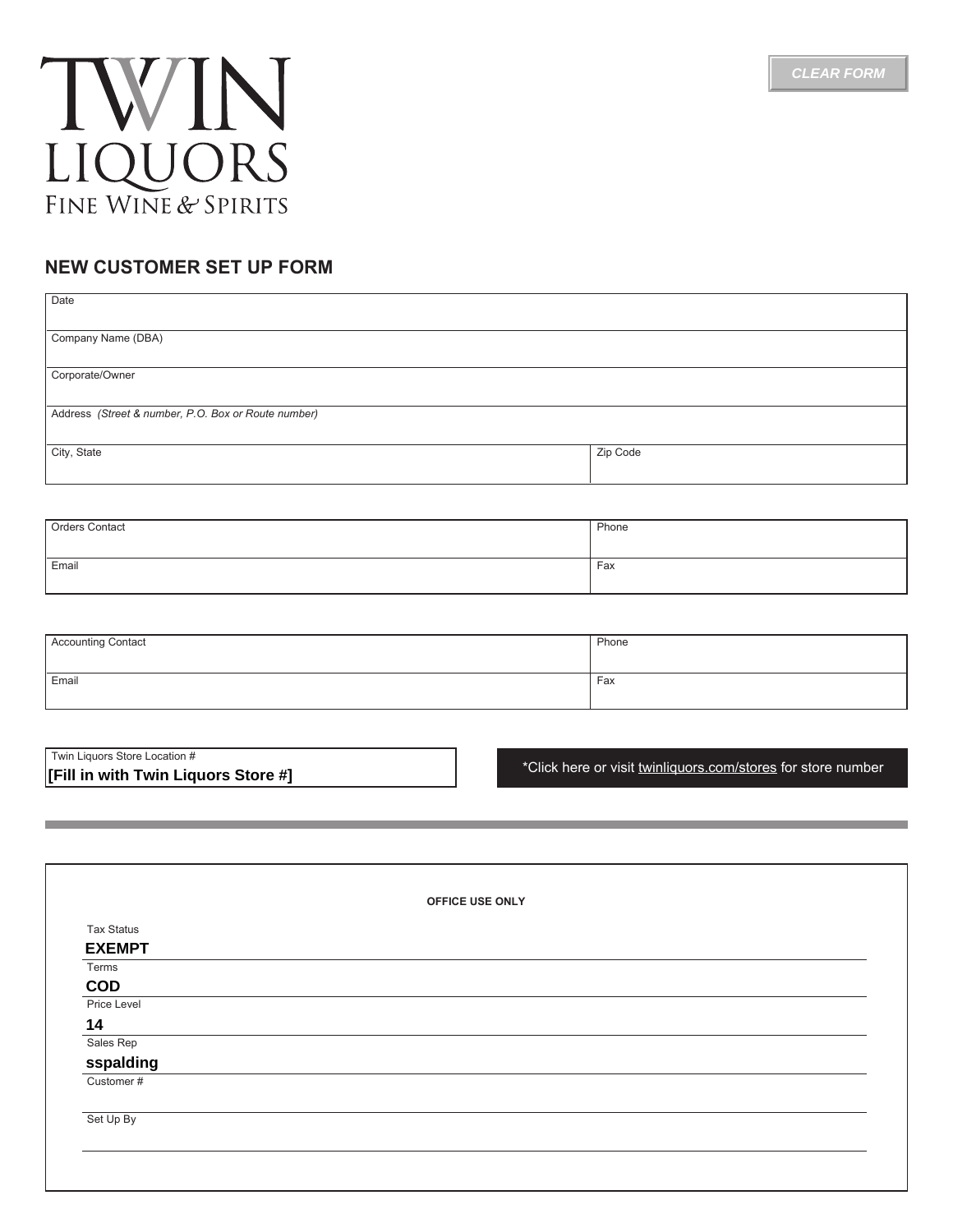



## **NEW CUSTOMER SET UP FORM**

| Date                                                |          |  |
|-----------------------------------------------------|----------|--|
| Company Name (DBA)                                  |          |  |
| Corporate/Owner                                     |          |  |
| Address (Street & number, P.O. Box or Route number) |          |  |
| City, State                                         | Zip Code |  |
|                                                     |          |  |

| Orders Contact | Phone |
|----------------|-------|
|                |       |
| Email          | Fax   |
|                |       |

| Accounting Contact | Phone |
|--------------------|-------|
| Email              | Fax   |

| Twin Liguors Store Location #       |  |  |  |
|-------------------------------------|--|--|--|
| [Fill in with Twin Liguors Store #] |  |  |  |

[\\*Click here or visit twinliquors.com/stores for store number](http://twinliquors.com/stores/#.Vw6clWPkU74)

|                   | OFFICE USE ONLY |
|-------------------|-----------------|
| <b>Tax Status</b> |                 |
| <b>EXEMPT</b>     |                 |
| Terms             |                 |
| <b>COD</b>        |                 |
| Price Level       |                 |
| 14                |                 |
| Sales Rep         |                 |
| sspalding         |                 |
| Customer#         |                 |
|                   |                 |
| Set Up By         |                 |
|                   |                 |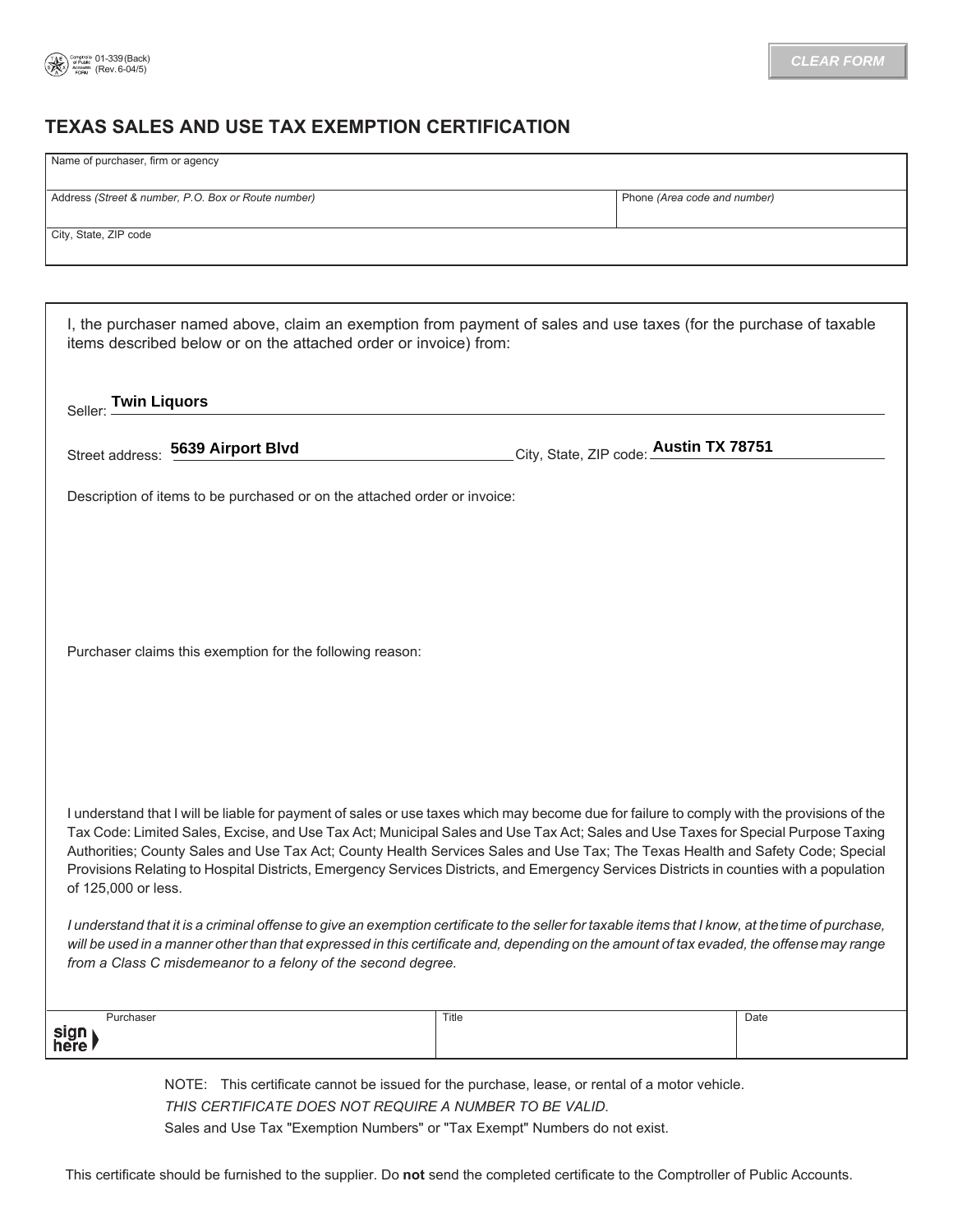

## **TEXAS SALES AND USE TAX EXEMPTION CERTIFICATION**

| Name of purchaser, firm or agency                                                                                                                                                                                                                                   |       |                                        |  |  |
|---------------------------------------------------------------------------------------------------------------------------------------------------------------------------------------------------------------------------------------------------------------------|-------|----------------------------------------|--|--|
| Address (Street & number, P.O. Box or Route number)                                                                                                                                                                                                                 |       | Phone (Area code and number)           |  |  |
| City, State, ZIP code                                                                                                                                                                                                                                               |       |                                        |  |  |
|                                                                                                                                                                                                                                                                     |       |                                        |  |  |
|                                                                                                                                                                                                                                                                     |       |                                        |  |  |
| I, the purchaser named above, claim an exemption from payment of sales and use taxes (for the purchase of taxable<br>items described below or on the attached order or invoice) from:                                                                               |       |                                        |  |  |
| Seller: Twin Liquors                                                                                                                                                                                                                                                |       |                                        |  |  |
| Street address: 5639 Airport Blvd                                                                                                                                                                                                                                   |       | City, State, ZIP code: Austin TX 78751 |  |  |
| Description of items to be purchased or on the attached order or invoice:                                                                                                                                                                                           |       |                                        |  |  |
|                                                                                                                                                                                                                                                                     |       |                                        |  |  |
|                                                                                                                                                                                                                                                                     |       |                                        |  |  |
|                                                                                                                                                                                                                                                                     |       |                                        |  |  |
| Purchaser claims this exemption for the following reason:                                                                                                                                                                                                           |       |                                        |  |  |
|                                                                                                                                                                                                                                                                     |       |                                        |  |  |
|                                                                                                                                                                                                                                                                     |       |                                        |  |  |
|                                                                                                                                                                                                                                                                     |       |                                        |  |  |
| I understand that I will be liable for payment of sales or use taxes which may become due for failure to comply with the provisions of the                                                                                                                          |       |                                        |  |  |
| Tax Code: Limited Sales, Excise, and Use Tax Act; Municipal Sales and Use Tax Act; Sales and Use Taxes for Special Purpose Taxing<br>Authorities; County Sales and Use Tax Act; County Health Services Sales and Use Tax; The Texas Health and Safety Code; Special |       |                                        |  |  |
| Provisions Relating to Hospital Districts, Emergency Services Districts, and Emergency Services Districts in counties with a population<br>of 125,000 or less.                                                                                                      |       |                                        |  |  |
| I understand that it is a criminal offense to give an exemption certificate to the seller for taxable items that I know, at the time of purchase,                                                                                                                   |       |                                        |  |  |
| will be used in a manner other than that expressed in this certificate and, depending on the amount of tax evaded, the offense may range<br>from a Class C misdemeanor to a felony of the second degree.                                                            |       |                                        |  |  |
|                                                                                                                                                                                                                                                                     |       |                                        |  |  |
| Purchaser<br>sign⊺                                                                                                                                                                                                                                                  | Title | Date                                   |  |  |
| here ¶                                                                                                                                                                                                                                                              |       |                                        |  |  |
| NOTE: This certificate cannot be issued for the purchase, lease, or rental of a motor vehicle.                                                                                                                                                                      |       |                                        |  |  |
| THIS CERTIFICATE DOES NOT REQUIRE A NUMBER TO BE VALID.                                                                                                                                                                                                             |       |                                        |  |  |

Sales and Use Tax "Exemption Numbers" or "Tax Exempt" Numbers do not exist.

This certificate should be furnished to the supplier. Do **not** send the completed certificate to the Comptroller of Public Accounts.